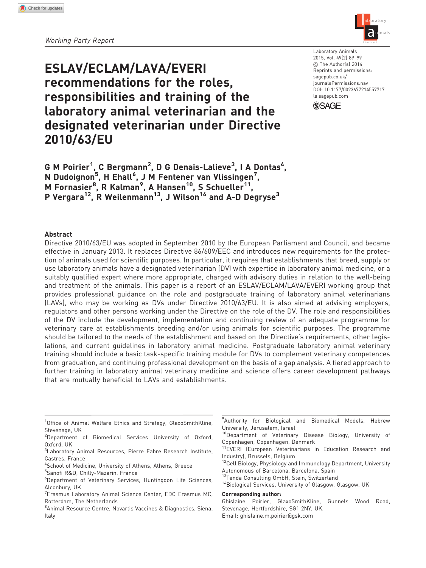

Laboratory Animals 2015, Vol. 49(2) 89–99  $©$  The Author(s) 2014 Reprints and permissions: sagepub.co.uk/ journalsPermissions.nav DOI: 10.1177/0023677214557717 la.sagepub.com



G M Poirier $^1$ , C Bergmann $^2$ , D G Denais-Lalieve $^3$ , I A Dontas $^4$ , N Dudoignon<sup>5</sup>, H Ehall<sup>6</sup>, J M Fentener van Vlissingen<sup>7</sup>, M Fornasier<sup>8</sup>, R Kalman<sup>9</sup>, A Hansen<sup>10</sup>, S Schueller<sup>11</sup>, P Vergara<sup>12</sup>, R Weilenmann<sup>13</sup>, J Wilson<sup>14</sup> and A-D Degryse<sup>3</sup>

### Abstract

Directive 2010/63/EU was adopted in September 2010 by the European Parliament and Council, and became effective in January 2013. It replaces Directive 86/609/EEC and introduces new requirements for the protection of animals used for scientific purposes. In particular, it requires that establishments that breed, supply or use laboratory animals have a designated veterinarian (DV) with expertise in laboratory animal medicine, or a suitably qualified expert where more appropriate, charged with advisory duties in relation to the well-being and treatment of the animals. This paper is a report of an ESLAV/ECLAM/LAVA/EVERI working group that provides professional guidance on the role and postgraduate training of laboratory animal veterinarians (LAVs), who may be working as DVs under Directive 2010/63/EU. It is also aimed at advising employers, regulators and other persons working under the Directive on the role of the DV. The role and responsibilities of the DV include the development, implementation and continuing review of an adequate programme for veterinary care at establishments breeding and/or using animals for scientific purposes. The programme should be tailored to the needs of the establishment and based on the Directive's requirements, other legislations, and current guidelines in laboratory animal medicine. Postgraduate laboratory animal veterinary training should include a basic task-specific training module for DVs to complement veterinary competences from graduation, and continuing professional development on the basis of a gap analysis. A tiered approach to further training in laboratory animal veterinary medicine and science offers career development pathways that are mutually beneficial to LAVs and establishments.

<sup>1</sup>Office of Animal Welfare Ethics and Strategy, GlaxoSmithKline, Stevenage, UK

- <sup>2</sup>Department of Biomedical Services University of Oxford, Oxford, UK
- <sup>3</sup> Laboratory Animal Resources, Pierre Fabre Research Institute, Castres, France
- 4 School of Medicine, University of Athens, Athens, Greece
- 5 Sanofi R&D, Chilly-Mazarin, France
- 6 Department of Veterinary Services, Huntingdon Life Sciences, Alconbury, UK
- 7 Erasmus Laboratory Animal Science Center, EDC Erasmus MC, Rotterdam, The Netherlands
- <sup>8</sup>Animal Resource Centre, Novartis Vaccines & Diagnostics, Siena, Italy

<sup>9</sup> Authority for Biological and Biomedical Models, Hebrew University, Jerusalem, Israel

<sup>10</sup>Department of Veterinary Disease Biology, University of Copenhagen, Copenhagen, Denmark

<sup>11</sup>EVERI (European Veterinarians in Education Research and Industry), Brussels, Belgium

<sup>12</sup>Cell Biology, Physiology and Immunology Department, University Autonomous of Barcelona, Barcelona, Spain

<sup>13</sup>Tenda Consulting GmbH, Stein, Switzerland

<sup>14</sup>Biological Services, University of Glasgow, Glasgow, UK

#### Corresponding author:

Ghislaine Poirier, GlaxoSmithKline, Gunnels Wood Road, Stevenage, Hertfordshire, SG1 2NY, UK. Email: ghislaine.m.poirier@gsk.com

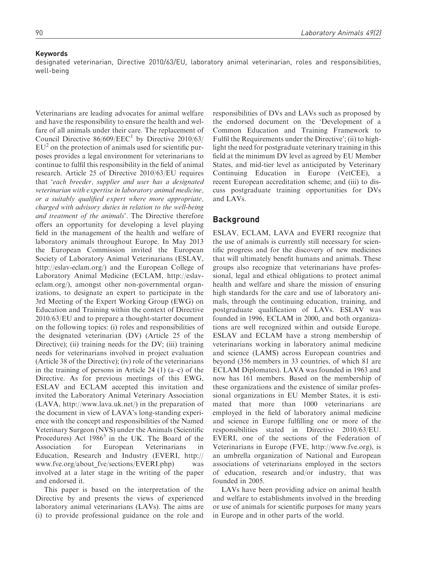#### Keywords

designated veterinarian, Directive 2010/63/EU, laboratory animal veterinarian, roles and responsibilities, well-being

Veterinarians are leading advocates for animal welfare and have the responsibility to ensure the health and welfare of all animals under their care. The replacement of Council Directive  $86/609/EEC<sup>1</sup>$  by Directive 2010/63/  $EU<sup>2</sup>$  on the protection of animals used for scientific purposes provides a legal environment for veterinarians to continue to fulfil this responsibility in the field of animal research. Article 25 of Directive 2010/63/EU requires that 'each breeder, supplier and user has a designated veterinarian with expertise in laboratory animal medicine, or a suitably qualified expert where more appropriate, charged with advisory duties in relation to the well-being and treatment of the animals'. The Directive therefore offers an opportunity for developing a level playing field in the management of the health and welfare of laboratory animals throughout Europe. In May 2013 the European Commission invited the European Society of Laboratory Animal Veterinarians (ESLAV, [http://eslav-eclam.org/\)](http://eslav-eclam.org/) and the European College of Laboratory Animal Medicine (ECLAM, [http://eslav](http://eslav-eclam.org/)[eclam.org/\)](http://eslav-eclam.org/), amongst other non-governmental organizations, to designate an expert to participate in the 3rd Meeting of the Expert Working Group (EWG) on Education and Training within the context of Directive 2010/63/EU and to prepare a thought-starter document on the following topics: (i) roles and responsibilities of the designated veterinarian (DV) (Article 25 of the Directive); (ii) training needs for the DV; (iii) training needs for veterinarians involved in project evaluation (Article 38 of the Directive); (iv) role of the veterinarians in the training of persons in Article 24 (1)  $(a-c)$  of the Directive. As for previous meetings of this EWG, ESLAV and ECLAM accepted this invitation and invited the Laboratory Animal Veterinary Association (LAVA,<http://www.lava.uk.net/>) in the preparation of the document in view of LAVA's long-standing experience with the concept and responsibilities of the Named Veterinary Surgeon (NVS) under the Animals (Scientific Procedures) Act  $1986<sup>3</sup>$  in the UK. The Board of the Association for European Veterinarians in Education, Research and Industry (EVERI, [http://](http://www.fve.org/about_fve/sections/EVERI.php) [www.fve.org/about\\_fve/sections/EVERI.php](http://www.fve.org/about_fve/sections/EVERI.php)) was involved at a later stage in the writing of the paper and endorsed it.

This paper is based on the interpretation of the Directive by and presents the views of experienced laboratory animal veterinarians (LAVs). The aims are (i) to provide professional guidance on the role and responsibilities of DVs and LAVs such as proposed by the endorsed document on the 'Development of a Common Education and Training Framework to Fulfil the Requirements under the Directive'; (ii) to highlight the need for postgraduate veterinary training in this field at the minimum DV level as agreed by EU Member States, and mid-tier level as anticipated by Veterinary Continuing Education in Europe (VetCEE), a recent European accreditation scheme; and (iii) to discuss postgraduate training opportunities for DVs and LAVs.

### Background

ESLAV, ECLAM, LAVA and EVERI recognize that the use of animals is currently still necessary for scientific progress and for the discovery of new medicines that will ultimately benefit humans and animals. These groups also recognize that veterinarians have professional, legal and ethical obligations to protect animal health and welfare and share the mission of ensuring high standards for the care and use of laboratory animals, through the continuing education, training, and postgraduate qualification of LAVs. ESLAV was founded in 1996, ECLAM in 2000, and both organizations are well recognized within and outside Europe. ESLAV and ECLAM have a strong membership of veterinarians working in laboratory animal medicine and science (LAMS) across European countries and beyond (356 members in 33 countries, of which 81 are ECLAM Diplomates). LAVA was founded in 1963 and now has 161 members. Based on the membership of these organizations and the existence of similar professional organizations in EU Member States, it is estimated that more than 1000 veterinarians are employed in the field of laboratory animal medicine and science in Europe fulfilling one or more of the responsibilities stated in Directive 2010/63/EU. EVERI, one of the sections of the Federation of Veterinarians in Europe (FVE, [http://www.fve.org\)](http://www.fve.org), is an umbrella organization of National and European associations of veterinarians employed in the sectors of education, research and/or industry, that was founded in 2005.

LAVs have been providing advice on animal health and welfare to establishments involved in the breeding or use of animals for scientific purposes for many years in Europe and in other parts of the world.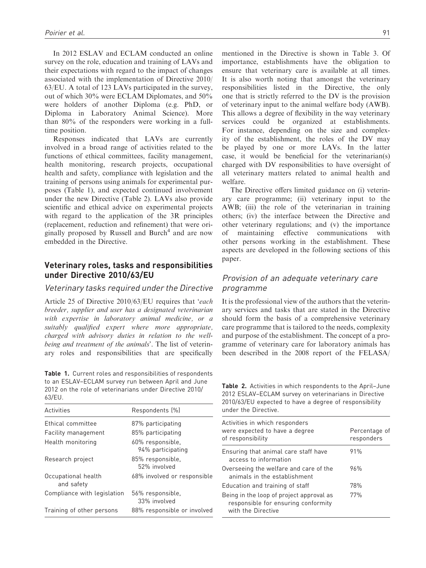In 2012 ESLAV and ECLAM conducted an online survey on the role, education and training of LAVs and their expectations with regard to the impact of changes associated with the implementation of Directive 2010/ 63/EU. A total of 123 LAVs participated in the survey, out of which 30% were ECLAM Diplomates, and 50% were holders of another Diploma (e.g. PhD, or Diploma in Laboratory Animal Science). More than 80% of the responders were working in a fulltime position.

Responses indicated that LAVs are currently involved in a broad range of activities related to the functions of ethical committees, facility management, health monitoring, research projects, occupational health and safety, compliance with legislation and the training of persons using animals for experimental purposes (Table 1), and expected continued involvement under the new Directive (Table 2). LAVs also provide scientific and ethical advice on experimental projects with regard to the application of the 3R principles (replacement, reduction and refinement) that were originally proposed by Russell and Burch<sup>4</sup> and are now embedded in the Directive.

## Veterinary roles, tasks and responsibilities under Directive 2010/63/EU

### Veterinary tasks required under the Directive

Article 25 of Directive 2010/63/EU requires that 'each breeder, supplier and user has a designated veterinarian with expertise in laboratory animal medicine, or a suitably qualified expert where more appropriate, charged with advisory duties in relation to the wellbeing and treatment of the animals'. The list of veterinary roles and responsibilities that are specifically

Table 1. Current roles and responsibilities of respondents to an ESLAV–ECLAM survey run between April and June 2012 on the role of veterinarians under Directive 2010/ 63/EU.

| Activities                        | Respondents (%)                       |
|-----------------------------------|---------------------------------------|
| Ethical committee                 | 87% participating                     |
| Facility management               | 85% participating                     |
| Health monitoring                 | 60% responsible.<br>94% participating |
| Research project                  | 85% responsible,<br>52% involved      |
| Occupational health<br>and safety | 68% involved or responsible           |
| Compliance with legislation       | 56% responsible.<br>33% involved      |
| Training of other persons         | 88% responsible or involved           |

mentioned in the Directive is shown in Table 3. Of importance, establishments have the obligation to ensure that veterinary care is available at all times. It is also worth noting that amongst the veterinary responsibilities listed in the Directive, the only one that is strictly referred to the DV is the provision of veterinary input to the animal welfare body (AWB). This allows a degree of flexibility in the way veterinary services could be organized at establishments. For instance, depending on the size and complexity of the establishment, the roles of the DV may be played by one or more LAVs. In the latter case, it would be beneficial for the veterinarian(s) charged with DV responsibilities to have oversight of all veterinary matters related to animal health and welfare.

The Directive offers limited guidance on (i) veterinary care programme; (ii) veterinary input to the AWB; (iii) the role of the veterinarian in training others; (iv) the interface between the Directive and other veterinary regulations; and (v) the importance of maintaining effective communications with other persons working in the establishment. These aspects are developed in the following sections of this paper.

## Provision of an adequate veterinary care programme

It is the professional view of the authors that the veterinary services and tasks that are stated in the Directive should form the basis of a comprehensive veterinary care programme that is tailored to the needs, complexity and purpose of the establishment. The concept of a programme of veterinary care for laboratory animals has been described in the 2008 report of the FELASA/

Table 2. Activities in which respondents to the April–June 2012 ESLAV–ECLAM survey on veterinarians in Directive 2010/63/EU expected to have a degree of responsibility under the Directive.

| Activities in which responders<br>were expected to have a degree<br>of responsibility                 | Percentage of<br>responders |  |
|-------------------------------------------------------------------------------------------------------|-----------------------------|--|
| Ensuring that animal care staff have<br>access to information                                         | 91%                         |  |
| Overseeing the welfare and care of the<br>animals in the establishment                                | 96%                         |  |
| Education and training of staff                                                                       | 78%                         |  |
| Being in the loop of project approval as<br>responsible for ensuring conformity<br>with the Directive | 77%                         |  |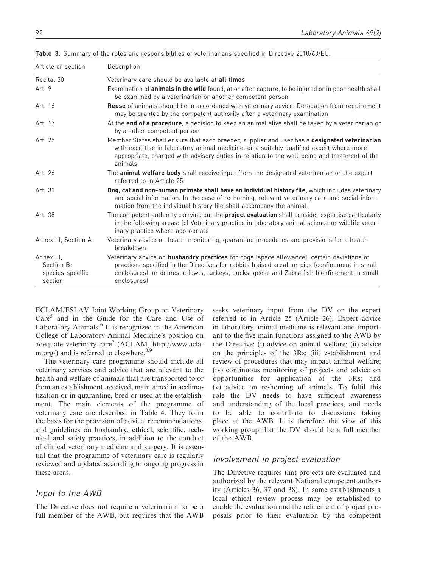| Article or section                                      | Description                                                                                                                                                                                                                                                                                              |  |  |
|---------------------------------------------------------|----------------------------------------------------------------------------------------------------------------------------------------------------------------------------------------------------------------------------------------------------------------------------------------------------------|--|--|
| Recital 30                                              | Veterinary care should be available at <b>all times</b>                                                                                                                                                                                                                                                  |  |  |
| Art. 9                                                  | Examination of <b>animals in the wild</b> found, at or after capture, to be injured or in poor health shall<br>be examined by a veterinarian or another competent person                                                                                                                                 |  |  |
| Art. 16                                                 | Reuse of animals should be in accordance with veterinary advice. Derogation from requirement<br>may be granted by the competent authority after a veterinary examination                                                                                                                                 |  |  |
| Art. 17                                                 | At the end of a procedure, a decision to keep an animal alive shall be taken by a veterinarian or<br>by another competent person                                                                                                                                                                         |  |  |
| Art. 25                                                 | Member States shall ensure that each breeder, supplier and user has a designated veterinarian<br>with expertise in laboratory animal medicine, or a suitably qualified expert where more<br>appropriate, charged with advisory duties in relation to the well-being and treatment of the<br>animals      |  |  |
| Art. 26                                                 | The animal welfare body shall receive input from the designated veterinarian or the expert<br>referred to in Article 25                                                                                                                                                                                  |  |  |
| Art. 31                                                 | Dog, cat and non-human primate shall have an individual history file, which includes veterinary<br>and social information. In the case of re-homing, relevant veterinary care and social infor-<br>mation from the individual history file shall accompany the animal                                    |  |  |
| Art. 38                                                 | The competent authority carrying out the <b>project evaluation</b> shall consider expertise particularly<br>in the following areas: (c) Veterinary practice in laboratory animal science or wildlife veter-<br>inary practice where appropriate                                                          |  |  |
| Annex III, Section A                                    | Veterinary advice on health monitoring, quarantine procedures and provisions for a health<br>breakdown                                                                                                                                                                                                   |  |  |
| Annex III.<br>Section B:<br>species-specific<br>section | Veterinary advice on husbandry practices for dogs (space allowance), certain deviations of<br>practices specified in the Directives for rabbits (raised area), or pigs (confinement in small<br>enclosures), or domestic fowls, turkeys, ducks, geese and Zebra fish (confinement in small<br>enclosures |  |  |

Table 3. Summary of the roles and responsibilities of veterinarians specified in Directive 2010/63/EU.

ECLAM/ESLAV Joint Working Group on Veterinary Care<sup>5</sup> and in the Guide for the Care and Use of Laboratory Animals.<sup>6</sup> It is recognized in the American College of Laboratory Animal Medicine's position on adequate veterinary care<sup>7</sup> (ACLAM, [http://www.acla](http://www.aclam.org/)[m.org/](http://www.aclam.org/)) and is referred to elsewhere.<sup>8,9</sup>

The veterinary care programme should include all veterinary services and advice that are relevant to the health and welfare of animals that are transported to or from an establishment, received, maintained in acclimatization or in quarantine, bred or used at the establishment. The main elements of the programme of veterinary care are described in Table 4. They form the basis for the provision of advice, recommendations, and guidelines on husbandry, ethical, scientific, technical and safety practices, in addition to the conduct of clinical veterinary medicine and surgery. It is essential that the programme of veterinary care is regularly reviewed and updated according to ongoing progress in these areas.

## Input to the AWB

The Directive does not require a veterinarian to be a full member of the AWB, but requires that the AWB seeks veterinary input from the DV or the expert referred to in Article 25 (Article 26). Expert advice in laboratory animal medicine is relevant and important to the five main functions assigned to the AWB by the Directive: (i) advice on animal welfare; (ii) advice on the principles of the 3Rs; (iii) establishment and review of procedures that may impact animal welfare; (iv) continuous monitoring of projects and advice on opportunities for application of the 3Rs; and (v) advice on re-homing of animals. To fulfil this role the DV needs to have sufficient awareness and understanding of the local practices, and needs to be able to contribute to discussions taking place at the AWB. It is therefore the view of this working group that the DV should be a full member of the AWB.

### Involvement in project evaluation

The Directive requires that projects are evaluated and authorized by the relevant National competent authority (Articles 36, 37 and 38). In some establishments a local ethical review process may be established to enable the evaluation and the refinement of project proposals prior to their evaluation by the competent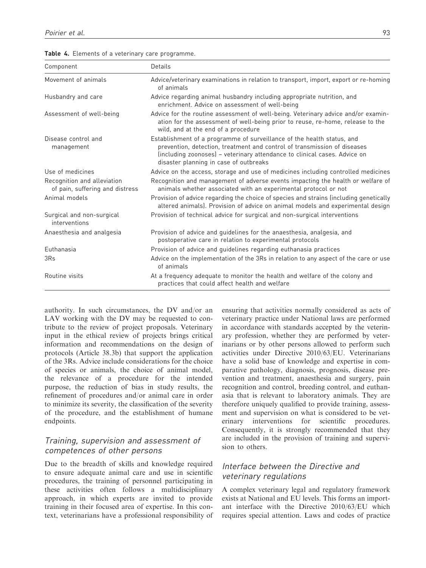| Component                                                      | Details                                                                                                                                                                                                                                                                   |  |
|----------------------------------------------------------------|---------------------------------------------------------------------------------------------------------------------------------------------------------------------------------------------------------------------------------------------------------------------------|--|
| Movement of animals                                            | Advice/veterinary examinations in relation to transport, import, export or re-homing<br>of animals                                                                                                                                                                        |  |
| Husbandry and care                                             | Advice regarding animal husbandry including appropriate nutrition, and<br>enrichment. Advice on assessment of well-being                                                                                                                                                  |  |
| Assessment of well-being                                       | Advice for the routine assessment of well-being. Veterinary advice and/or examin-<br>ation for the assessment of well-being prior to reuse, re-home, release to the<br>wild, and at the end of a procedure                                                                |  |
| Disease control and<br>management                              | Establishment of a programme of surveillance of the health status, and<br>prevention, detection, treatment and control of transmission of diseases<br>(including zoonoses) - veterinary attendance to clinical cases. Advice on<br>disaster planning in case of outbreaks |  |
| Use of medicines                                               | Advice on the access, storage and use of medicines including controlled medicines                                                                                                                                                                                         |  |
| Recognition and alleviation<br>of pain, suffering and distress | Recognition and management of adverse events impacting the health or welfare of<br>animals whether associated with an experimental protocol or not                                                                                                                        |  |
| Animal models                                                  | Provision of advice regarding the choice of species and strains (including genetically<br>altered animals). Provision of advice on animal models and experimental design                                                                                                  |  |
| Surgical and non-surgical<br>interventions                     | Provision of technical advice for surgical and non-surgical interventions                                                                                                                                                                                                 |  |
| Anaesthesia and analgesia                                      | Provision of advice and guidelines for the anaesthesia, analgesia, and<br>postoperative care in relation to experimental protocols                                                                                                                                        |  |
| Euthanasia                                                     | Provision of advice and guidelines regarding euthanasia practices                                                                                                                                                                                                         |  |
| 3Rs                                                            | Advice on the implementation of the 3Rs in relation to any aspect of the care or use<br>of animals                                                                                                                                                                        |  |
| Routine visits                                                 | At a frequency adequate to monitor the health and welfare of the colony and<br>practices that could affect health and welfare                                                                                                                                             |  |

Table 4. Elements of a veterinary care programme.

authority. In such circumstances, the DV and/or an LAV working with the DV may be requested to contribute to the review of project proposals. Veterinary input in the ethical review of projects brings critical information and recommendations on the design of protocols (Article 38.3b) that support the application of the 3Rs. Advice include considerations for the choice of species or animals, the choice of animal model, the relevance of a procedure for the intended purpose, the reduction of bias in study results, the refinement of procedures and/or animal care in order to minimize its severity, the classification of the severity of the procedure, and the establishment of humane endpoints.

## Training, supervision and assessment of competences of other persons

Due to the breadth of skills and knowledge required to ensure adequate animal care and use in scientific procedures, the training of personnel participating in these activities often follows a multidisciplinary approach, in which experts are invited to provide training in their focused area of expertise. In this context, veterinarians have a professional responsibility of

ensuring that activities normally considered as acts of veterinary practice under National laws are performed in accordance with standards accepted by the veterinary profession, whether they are performed by veterinarians or by other persons allowed to perform such activities under Directive 2010/63/EU. Veterinarians have a solid base of knowledge and expertise in comparative pathology, diagnosis, prognosis, disease prevention and treatment, anaesthesia and surgery, pain recognition and control, breeding control, and euthanasia that is relevant to laboratory animals. They are therefore uniquely qualified to provide training, assessment and supervision on what is considered to be veterinary interventions for scientific procedures. Consequently, it is strongly recommended that they are included in the provision of training and supervision to others.

# Interface between the Directive and veterinary regulations

A complex veterinary legal and regulatory framework exists at National and EU levels. This forms an important interface with the Directive 2010/63/EU which requires special attention. Laws and codes of practice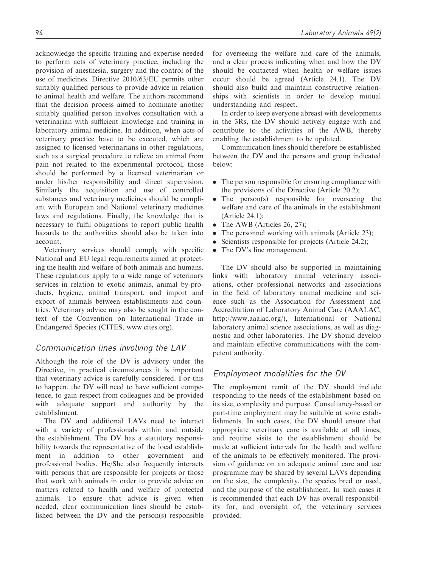acknowledge the specific training and expertise needed to perform acts of veterinary practice, including the provision of anesthesia, surgery and the control of the use of medicines. Directive 2010/63/EU permits other suitably qualified persons to provide advice in relation to animal health and welfare. The authors recommend that the decision process aimed to nominate another suitably qualified person involves consultation with a veterinarian with sufficient knowledge and training in laboratory animal medicine. In addition, when acts of veterinary practice have to be executed, which are assigned to licensed veterinarians in other regulations, such as a surgical procedure to relieve an animal from pain not related to the experimental protocol, those should be performed by a licensed veterinarian or under his/her responsibility and direct supervision. Similarly the acquisition and use of controlled substances and veterinary medicines should be compliant with European and National veterinary medicines laws and regulations. Finally, the knowledge that is necessary to fulfil obligations to report public health hazards to the authorities should also be taken into account.

Veterinary services should comply with specific National and EU legal requirements aimed at protecting the health and welfare of both animals and humans. These regulations apply to a wide range of veterinary services in relation to exotic animals, animal by-products, hygiene, animal transport, and import and export of animals between establishments and countries. Veterinary advice may also be sought in the context of the Convention on International Trade in Endangered Species (CITES, [www.cites.org\)](www.cites.org).

## Communication lines involving the LAV

Although the role of the DV is advisory under the Directive, in practical circumstances it is important that veterinary advice is carefully considered. For this to happen, the DV will need to have sufficient competence, to gain respect from colleagues and be provided with adequate support and authority by the establishment.

The DV and additional LAVs need to interact with a variety of professionals within and outside the establishment. The DV has a statutory responsibility towards the representative of the local establishment in addition to other government and professional bodies. He/She also frequently interacts with persons that are responsible for projects or those that work with animals in order to provide advice on matters related to health and welfare of protected animals. To ensure that advice is given when needed, clear communication lines should be established between the DV and the person(s) responsible for overseeing the welfare and care of the animals, and a clear process indicating when and how the DV should be contacted when health or welfare issues occur should be agreed (Article 24.1). The DV should also build and maintain constructive relationships with scientists in order to develop mutual understanding and respect.

In order to keep everyone abreast with developments in the 3Rs, the DV should actively engage with and contribute to the activities of the AWB, thereby enabling the establishment to be updated.

Communication lines should therefore be established between the DV and the persons and group indicated below:

- . The person responsible for ensuring compliance with the provisions of the Directive (Article 20.2);
- The person(s) responsible for overseeing the welfare and care of the animals in the establishment (Article 24.1);
- $\bullet$  The AWB (Articles 26, 27);
- The personnel working with animals (Article 23);
- Scientists responsible for projects (Article 24.2);
- . The DV's line management.

The DV should also be supported in maintaining links with laboratory animal veterinary associations, other professional networks and associations in the field of laboratory animal medicine and science such as the Association for Assessment and Accreditation of Laboratory Animal Care (AAALAC, http://www.aaalac.org/), International or National laboratory animal science associations, as well as diagnostic and other laboratories. The DV should develop and maintain effective communications with the competent authority.

# Employment modalities for the DV

The employment remit of the DV should include responding to the needs of the establishment based on its size, complexity and purpose. Consultancy-based or part-time employment may be suitable at some establishments. In such cases, the DV should ensure that appropriate veterinary care is available at all times, and routine visits to the establishment should be made at sufficient intervals for the health and welfare of the animals to be effectively monitored. The provision of guidance on an adequate animal care and use programme may be shared by several LAVs depending on the size, the complexity, the species bred or used, and the purpose of the establishment. In such cases it is recommended that each DV has overall responsibility for, and oversight of, the veterinary services provided.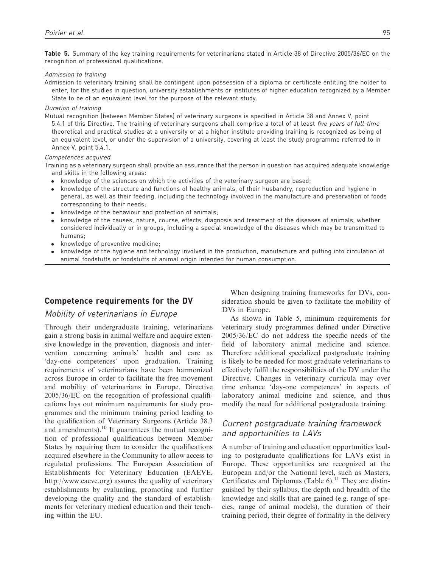Table 5. Summary of the key training requirements for veterinarians stated in Article 38 of Directive 2005/36/EC on the recognition of professional qualifications.

#### Admission to training

Admission to veterinary training shall be contingent upon possession of a diploma or certificate entitling the holder to enter, for the studies in question, university establishments or institutes of higher education recognized by a Member State to be of an equivalent level for the purpose of the relevant study.

#### Duration of training

Mutual recognition (between Member States) of veterinary surgeons is specified in Article 38 and Annex V, point 5.4.1 of this Directive. The training of veterinary surgeons shall comprise a total of at least five years of full-time theoretical and practical studies at a university or at a higher institute providing training is recognized as being of an equivalent level, or under the supervision of a university, covering at least the study programme referred to in Annex V, point 5.4.1.

#### Competences acquired

Training as a veterinary surgeon shall provide an assurance that the person in question has acquired adequate knowledge and skills in the following areas:

- $\bullet$ knowledge of the sciences on which the activities of the veterinary surgeon are based;
- $\bullet$  knowledge of the structure and functions of healthy animals, of their husbandry, reproduction and hygiene in general, as well as their feeding, including the technology involved in the manufacture and preservation of foods corresponding to their needs;
- $\bullet$ knowledge of the behaviour and protection of animals;
- $\bullet$  knowledge of the causes, nature, course, effects, diagnosis and treatment of the diseases of animals, whether considered individually or in groups, including a special knowledge of the diseases which may be transmitted to humans;
- $\bullet$ knowledge of preventive medicine;
- $\bullet$  knowledge of the hygiene and technology involved in the production, manufacture and putting into circulation of animal foodstuffs or foodstuffs of animal origin intended for human consumption.

## Competence requirements for the DV

## Mobility of veterinarians in Europe

Through their undergraduate training, veterinarians gain a strong basis in animal welfare and acquire extensive knowledge in the prevention, diagnosis and intervention concerning animals' health and care as 'day-one competences' upon graduation. Training requirements of veterinarians have been harmonized across Europe in order to facilitate the free movement and mobility of veterinarians in Europe. Directive 2005/36/EC on the recognition of professional qualifications lays out minimum requirements for study programmes and the minimum training period leading to the qualification of Veterinary Surgeons (Article 38.3 and amendments). $^{10}$  It guarantees the mutual recognition of professional qualifications between Member States by requiring them to consider the qualifications acquired elsewhere in the Community to allow access to regulated professions. The European Association of Establishments for Veterinary Education (EAEVE, [http://www.eaeve.org\)](http://www.eaeve.org) assures the quality of veterinary establishments by evaluating, promoting and further developing the quality and the standard of establishments for veterinary medical education and their teaching within the EU.

When designing training frameworks for DVs, consideration should be given to facilitate the mobility of DVs in Europe.

As shown in Table 5, minimum requirements for veterinary study programmes defined under Directive 2005/36/EC do not address the specific needs of the field of laboratory animal medicine and science. Therefore additional specialized postgraduate training is likely to be needed for most graduate veterinarians to effectively fulfil the responsibilities of the DV under the Directive. Changes in veterinary curricula may over time enhance 'day-one competences' in aspects of laboratory animal medicine and science, and thus modify the need for additional postgraduate training.

## Current postgraduate training framework and opportunities to LAVs

A number of training and education opportunities leading to postgraduate qualifications for LAVs exist in Europe. These opportunities are recognized at the European and/or the National level, such as Masters, Certificates and Diplomas (Table  $6$ ).<sup>11</sup> They are distinguished by their syllabus, the depth and breadth of the knowledge and skills that are gained (e.g. range of species, range of animal models), the duration of their training period, their degree of formality in the delivery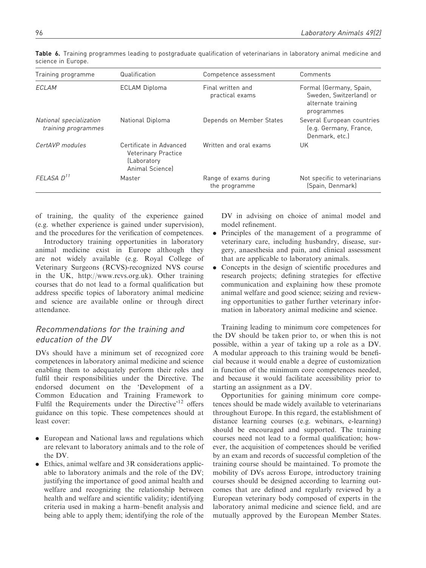| Training programme                             | Qualification                                                                           | Competence assessment                  | Comments                                                                               |
|------------------------------------------------|-----------------------------------------------------------------------------------------|----------------------------------------|----------------------------------------------------------------------------------------|
| ECLAM                                          | ECLAM Diploma                                                                           | Final written and<br>practical exams   | Formal (Germany, Spain,<br>Sweden, Switzerland) or<br>alternate training<br>programmes |
| National specialization<br>training programmes | National Diploma                                                                        | Depends on Member States               | Several European countries<br>(e.g. Germany, France,<br>Denmark, etc.)                 |
| CertAVP modules                                | Certificate in Advanced<br><b>Veterinary Practice</b><br>(Laboratory<br>Animal Sciencel | Written and oral exams                 | UK                                                                                     |
| FELASA D <sup>11</sup>                         | Master                                                                                  | Range of exams during<br>the programme | Not specific to veterinarians<br>(Spain, Denmark)                                      |

Table 6. Training programmes leading to postgraduate qualification of veterinarians in laboratory animal medicine and science in Europe.

of training, the quality of the experience gained (e.g. whether experience is gained under supervision), and the procedures for the verification of competences.

Introductory training opportunities in laboratory animal medicine exist in Europe although they are not widely available (e.g. Royal College of Veterinary Surgeons (RCVS)-recognized NVS course in the UK, [http://www.rcvs.org.uk\)](http://www.rcvs.org.uk). Other training courses that do not lead to a formal qualification but address specific topics of laboratory animal medicine and science are available online or through direct attendance.

# Recommendations for the training and education of the DV

DVs should have a minimum set of recognized core competences in laboratory animal medicine and science enabling them to adequately perform their roles and fulfil their responsibilities under the Directive. The endorsed document on the 'Development of a Common Education and Training Framework to Fulfil the Requirements under the Directive<sup>'12</sup> offers guidance on this topic. These competences should at least cover:

- . European and National laws and regulations which are relevant to laboratory animals and to the role of the DV.
- . Ethics, animal welfare and 3R considerations applicable to laboratory animals and the role of the DV; justifying the importance of good animal health and welfare and recognizing the relationship between health and welfare and scientific validity; identifying criteria used in making a harm–benefit analysis and being able to apply them; identifying the role of the

DV in advising on choice of animal model and model refinement.

- . Principles of the management of a programme of veterinary care, including husbandry, disease, surgery, anaesthesia and pain, and clinical assessment that are applicable to laboratory animals.
- . Concepts in the design of scientific procedures and research projects; defining strategies for effective communication and explaining how these promote animal welfare and good science; seizing and reviewing opportunities to gather further veterinary information in laboratory animal medicine and science.

Training leading to minimum core competences for the DV should be taken prior to, or when this is not possible, within a year of taking up a role as a DV. A modular approach to this training would be beneficial because it would enable a degree of customization in function of the minimum core competences needed, and because it would facilitate accessibility prior to starting an assignment as a DV.

Opportunities for gaining minimum core competences should be made widely available to veterinarians throughout Europe. In this regard, the establishment of distance learning courses (e.g. webinars, e-learning) should be encouraged and supported. The training courses need not lead to a formal qualification; however, the acquisition of competences should be verified by an exam and records of successful completion of the training course should be maintained. To promote the mobility of DVs across Europe, introductory training courses should be designed according to learning outcomes that are defined and regularly reviewed by a European veterinary body composed of experts in the laboratory animal medicine and science field, and are mutually approved by the European Member States.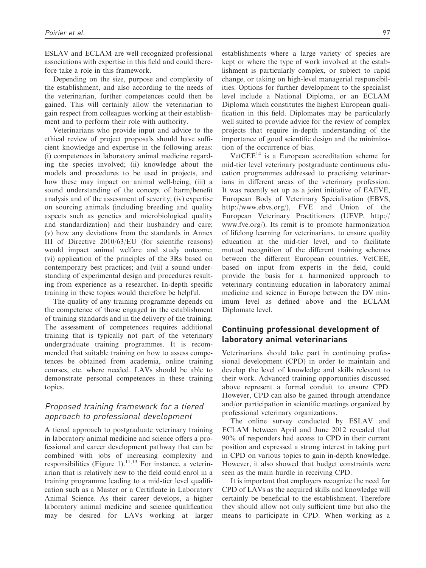ESLAV and ECLAM are well recognized professional associations with expertise in this field and could therefore take a role in this framework.

Depending on the size, purpose and complexity of the establishment, and also according to the needs of the veterinarian, further competences could then be gained. This will certainly allow the veterinarian to gain respect from colleagues working at their establishment and to perform their role with authority.

Veterinarians who provide input and advice to the ethical review of project proposals should have sufficient knowledge and expertise in the following areas: (i) competences in laboratory animal medicine regarding the species involved; (ii) knowledge about the models and procedures to be used in projects, and how these may impact on animal well-being; (iii) a sound understanding of the concept of harm/benefit analysis and of the assessment of severity; (iv) expertise on sourcing animals (including breeding and quality aspects such as genetics and microbiological quality and standardization) and their husbandry and care; (v) how any deviations from the standards in Annex III of Directive 2010/63/EU (for scientific reasons) would impact animal welfare and study outcome; (vi) application of the principles of the 3Rs based on contemporary best practices; and (vii) a sound understanding of experimental design and procedures resulting from experience as a researcher. In-depth specific training in these topics would therefore be helpful.

The quality of any training programme depends on the competence of those engaged in the establishment of training standards and in the delivery of the training. The assessment of competences requires additional training that is typically not part of the veterinary undergraduate training programmes. It is recommended that suitable training on how to assess competences be obtained from academia, online training courses, etc. where needed. LAVs should be able to demonstrate personal competences in these training topics.

## Proposed training framework for a tiered approach to professional development

A tiered approach to postgraduate veterinary training in laboratory animal medicine and science offers a professional and career development pathway that can be combined with jobs of increasing complexity and responsibilities (Figure 1).<sup>11,13</sup> For instance, a veterinarian that is relatively new to the field could enrol in a training programme leading to a mid-tier level qualification such as a Master or a Certificate in Laboratory Animal Science. As their career develops, a higher laboratory animal medicine and science qualification may be desired for LAVs working at larger establishments where a large variety of species are kept or where the type of work involved at the establishment is particularly complex, or subject to rapid change, or taking on high-level managerial responsibilities. Options for further development to the specialist level include a National Diploma, or an ECLAM Diploma which constitutes the highest European qualification in this field. Diplomates may be particularly well suited to provide advice for the review of complex projects that require in-depth understanding of the importance of good scientific design and the minimization of the occurrence of bias.

Vet $CEE^{14}$  is a European accreditation scheme for mid-tier level veterinary postgraduate continuous education programmes addressed to practising veterinarians in different areas of the veterinary profession. It was recently set up as a joint initiative of EAEVE, European Body of Veterinary Specialisation (EBVS, [http://www.ebvs.org/\)](http://www.ebvs.org/), FVE and Union of the European Veterinary Practitioners (UEVP, [http://](http://www.fve.org/) [www.fve.org/\)](http://www.fve.org/). Its remit is to promote harmonization of lifelong learning for veterinarians, to ensure quality education at the mid-tier level, and to facilitate mutual recognition of the different training schemes between the different European countries. VetCEE, based on input from experts in the field, could provide the basis for a harmonized approach to veterinary continuing education in laboratory animal medicine and science in Europe between the DV minimum level as defined above and the ECLAM Diplomate level.

## Continuing professional development of laboratory animal veterinarians

Veterinarians should take part in continuing professional development (CPD) in order to maintain and develop the level of knowledge and skills relevant to their work. Advanced training opportunities discussed above represent a formal conduit to ensure CPD. However, CPD can also be gained through attendance and/or participation in scientific meetings organized by professional veterinary organizations.

The online survey conducted by ESLAV and ECLAM between April and June 2012 revealed that 90% of responders had access to CPD in their current position and expressed a strong interest in taking part in CPD on various topics to gain in-depth knowledge. However, it also showed that budget constraints were seen as the main hurdle in receiving CPD.

It is important that employers recognize the need for CPD of LAVs as the acquired skills and knowledge will certainly be beneficial to the establishment. Therefore they should allow not only sufficient time but also the means to participate in CPD. When working as a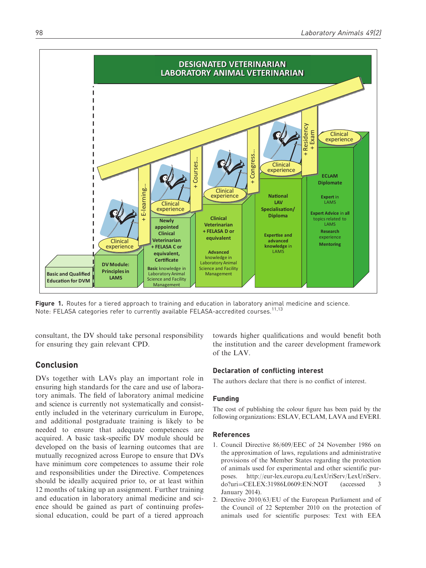

Figure 1. Routes for a tiered approach to training and education in laboratory animal medicine and science. Note: FELASA categories refer to currently available FELASA-accredited courses.<sup>11,13</sup>

consultant, the DV should take personal responsibility for ensuring they gain relevant CPD.

# Conclusion

DVs together with LAVs play an important role in ensuring high standards for the care and use of laboratory animals. The field of laboratory animal medicine and science is currently not systematically and consistently included in the veterinary curriculum in Europe, and additional postgraduate training is likely to be needed to ensure that adequate competences are acquired. A basic task-specific DV module should be developed on the basis of learning outcomes that are mutually recognized across Europe to ensure that DVs have minimum core competences to assume their role and responsibilities under the Directive. Competences should be ideally acquired prior to, or at least within 12 months of taking up an assignment. Further training and education in laboratory animal medicine and science should be gained as part of continuing professional education, could be part of a tiered approach towards higher qualifications and would benefit both the institution and the career development framework of the LAV.

## Declaration of conflicting interest

The authors declare that there is no conflict of interest.

## Funding

The cost of publishing the colour figure has been paid by the following organizations: ESLAV, ECLAM, LAVA and EVERI.

### References

- 1. Council Directive 86/609/EEC of 24 November 1986 on the approximation of laws, regulations and administrative provisions of the Member States regarding the protection of animals used for experimental and other scientific purposes. [http://eur-lex.europa.eu/LexUriServ/LexUriServ.](http://eur-lex.europa.eu/LexUriServ/LexUriServ.do?uri=CELEX:31986L0609:EN:NOT) [do?uri](http://eur-lex.europa.eu/LexUriServ/LexUriServ.do?uri=CELEX:31986L0609:EN:NOT)=[CELEX:31986L0609:EN:NOT](http://eur-lex.europa.eu/LexUriServ/LexUriServ.do?uri=CELEX:31986L0609:EN:NOT) (accessed 3 January 2014).
- 2. Directive 2010/63/EU of the European Parliament and of the Council of 22 September 2010 on the protection of animals used for scientific purposes: Text with EEA